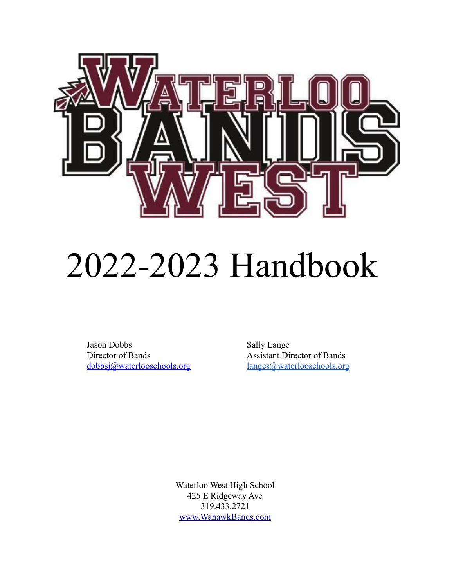

# 2022-2023 Handbook

Jason Dobbs Sally Lange Director of Bands<br>
Assistant Director of Bands [dobbsj@waterlooschools.org](mailto:dobbsj@waterlooschools.org) [langes@waterlooschools.org](mailto:langes@waterlooschools.org)

Waterloo West High School 425 E Ridgeway Ave 319.433.2721 www.WahawkBands.com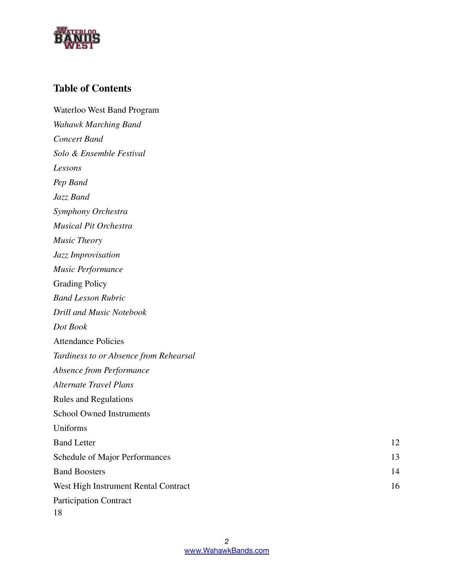

# **Table of Contents**

Waterloo West Band Program *Wahawk Marching Band Concert Band Solo & Ensemble Festival Lessons Pep Band Jazz Band Symphony Orchestra Musical Pit Orchestra Music Theory Jazz Improvisation Music Performance* Grading Policy *Band Lesson Rubric Drill and Music Notebook Dot Book* Attendance Policies *Tardiness to or Absence from Rehearsal Absence from Performance Alternate Travel Plans* Rules and Regulations School Owned Instruments Uniforms Band Letter 12 Schedule of Major Performances 13 Band Boosters 14 West High Instrument Rental Contract 16 Participation Contract 18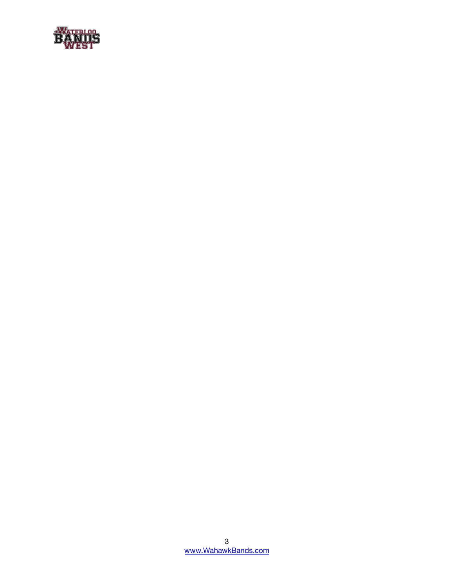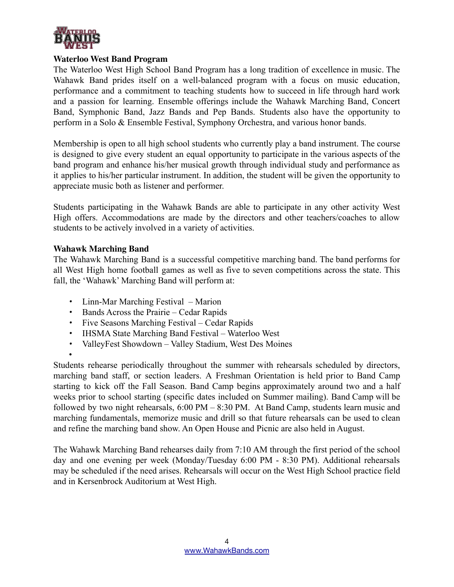

## **Waterloo West Band Program**

The Waterloo West High School Band Program has a long tradition of excellence in music. The Wahawk Band prides itself on a well-balanced program with a focus on music education, performance and a commitment to teaching students how to succeed in life through hard work and a passion for learning. Ensemble offerings include the Wahawk Marching Band, Concert Band, Symphonic Band, Jazz Bands and Pep Bands. Students also have the opportunity to perform in a Solo & Ensemble Festival, Symphony Orchestra, and various honor bands.

Membership is open to all high school students who currently play a band instrument. The course is designed to give every student an equal opportunity to participate in the various aspects of the band program and enhance his/her musical growth through individual study and performance as it applies to his/her particular instrument. In addition, the student will be given the opportunity to appreciate music both as listener and performer.

Students participating in the Wahawk Bands are able to participate in any other activity West High offers. Accommodations are made by the directors and other teachers/coaches to allow students to be actively involved in a variety of activities.

#### **Wahawk Marching Band**

The Wahawk Marching Band is a successful competitive marching band. The band performs for all West High home football games as well as five to seven competitions across the state. This fall, the 'Wahawk' Marching Band will perform at:

- Linn-Mar Marching Festival Marion
- Bands Across the Prairie Cedar Rapids
- Five Seasons Marching Festival Cedar Rapids
- IHSMA State Marching Band Festival Waterloo West
- ValleyFest Showdown Valley Stadium, West Des Moines

•

Students rehearse periodically throughout the summer with rehearsals scheduled by directors, marching band staff, or section leaders. A Freshman Orientation is held prior to Band Camp starting to kick off the Fall Season. Band Camp begins approximately around two and a half weeks prior to school starting (specific dates included on Summer mailing). Band Camp will be followed by two night rehearsals, 6:00 PM – 8:30 PM. At Band Camp, students learn music and marching fundamentals, memorize music and drill so that future rehearsals can be used to clean and refine the marching band show. An Open House and Picnic are also held in August.

The Wahawk Marching Band rehearses daily from 7:10 AM through the first period of the school day and one evening per week (Monday/Tuesday 6:00 PM - 8:30 PM). Additional rehearsals may be scheduled if the need arises. Rehearsals will occur on the West High School practice field and in Kersenbrock Auditorium at West High.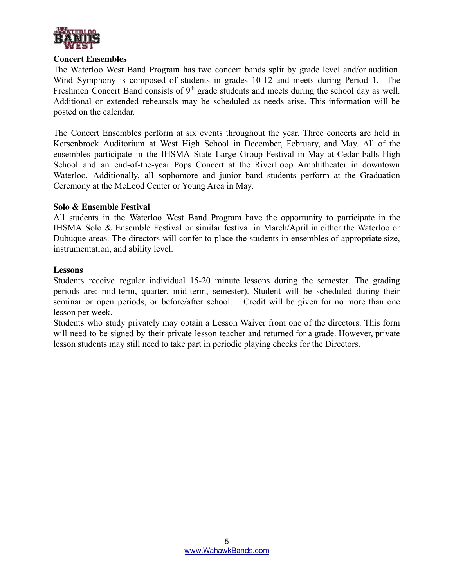

#### **Concert Ensembles**

The Waterloo West Band Program has two concert bands split by grade level and/or audition. Wind Symphony is composed of students in grades 10-12 and meets during Period 1. The Freshmen Concert Band consists of  $9<sup>th</sup>$  grade students and meets during the school day as well. Additional or extended rehearsals may be scheduled as needs arise. This information will be posted on the calendar.

The Concert Ensembles perform at six events throughout the year. Three concerts are held in Kersenbrock Auditorium at West High School in December, February, and May. All of the ensembles participate in the IHSMA State Large Group Festival in May at Cedar Falls High School and an end-of-the-year Pops Concert at the RiverLoop Amphitheater in downtown Waterloo. Additionally, all sophomore and junior band students perform at the Graduation Ceremony at the McLeod Center or Young Area in May.

#### **Solo & Ensemble Festival**

All students in the Waterloo West Band Program have the opportunity to participate in the IHSMA Solo & Ensemble Festival or similar festival in March/April in either the Waterloo or Dubuque areas. The directors will confer to place the students in ensembles of appropriate size, instrumentation, and ability level.

#### **Lessons**

Students receive regular individual 15-20 minute lessons during the semester. The grading periods are: mid-term, quarter, mid-term, semester). Student will be scheduled during their seminar or open periods, or before/after school. Credit will be given for no more than one lesson per week.

Students who study privately may obtain a Lesson Waiver from one of the directors. This form will need to be signed by their private lesson teacher and returned for a grade. However, private lesson students may still need to take part in periodic playing checks for the Directors.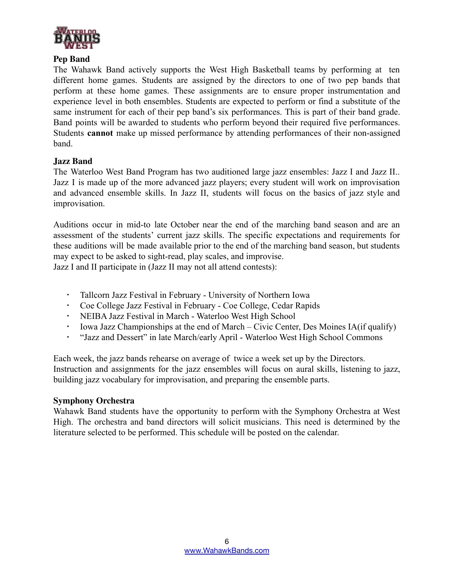

#### **Pep Band**

The Wahawk Band actively supports the West High Basketball teams by performing at ten different home games. Students are assigned by the directors to one of two pep bands that perform at these home games. These assignments are to ensure proper instrumentation and experience level in both ensembles. Students are expected to perform or find a substitute of the same instrument for each of their pep band's six performances. This is part of their band grade. Band points will be awarded to students who perform beyond their required five performances. Students **cannot** make up missed performance by attending performances of their non-assigned band.

# **Jazz Band**

The Waterloo West Band Program has two auditioned large jazz ensembles: Jazz I and Jazz II.. Jazz I is made up of the more advanced jazz players; every student will work on improvisation and advanced ensemble skills. In Jazz II, students will focus on the basics of jazz style and improvisation.

Auditions occur in mid-to late October near the end of the marching band season and are an assessment of the students' current jazz skills. The specific expectations and requirements for these auditions will be made available prior to the end of the marching band season, but students may expect to be asked to sight-read, play scales, and improvise. Jazz I and II participate in (Jazz II may not all attend contests):

- · Tallcorn Jazz Festival in February University of Northern Iowa
- · Coe College Jazz Festival in February Coe College, Cedar Rapids
- · NEIBA Jazz Festival in March Waterloo West High School
- · Iowa Jazz Championships at the end of March Civic Center, Des Moines IA(if qualify)
- · "Jazz and Dessert" in late March/early April Waterloo West High School Commons

Each week, the jazz bands rehearse on average of twice a week set up by the Directors. Instruction and assignments for the jazz ensembles will focus on aural skills, listening to jazz, building jazz vocabulary for improvisation, and preparing the ensemble parts.

#### **Symphony Orchestra**

Wahawk Band students have the opportunity to perform with the Symphony Orchestra at West High. The orchestra and band directors will solicit musicians. This need is determined by the literature selected to be performed. This schedule will be posted on the calendar.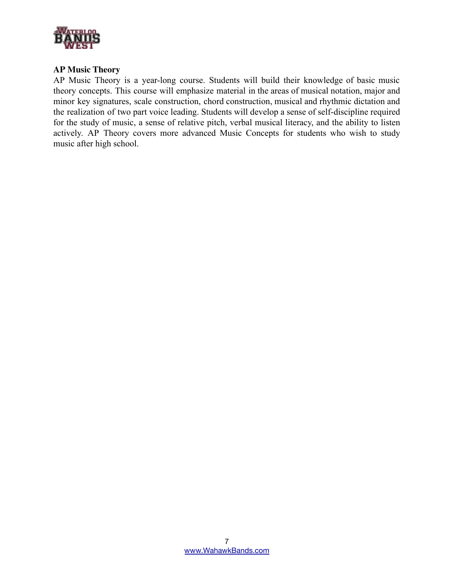

# **AP Music Theory**

AP Music Theory is a year-long course. Students will build their knowledge of basic music theory concepts. This course will emphasize material in the areas of musical notation, major and minor key signatures, scale construction, chord construction, musical and rhythmic dictation and the realization of two part voice leading. Students will develop a sense of self-discipline required for the study of music, a sense of relative pitch, verbal musical literacy, and the ability to listen actively. AP Theory covers more advanced Music Concepts for students who wish to study music after high school.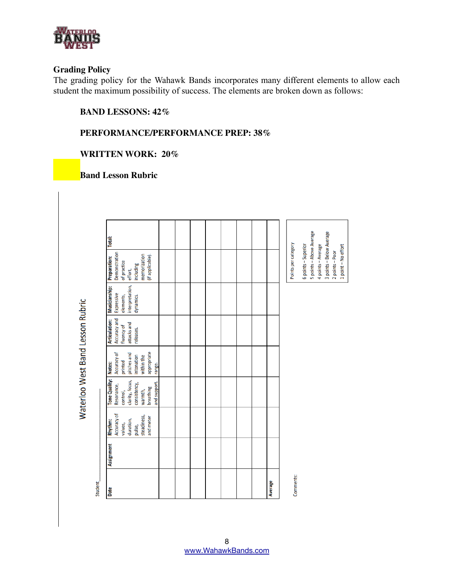

# **Grading Policy**

Waterloo West Band Lesson Rubric

The grading policy for the Wahawk Bands incorporates many different elements to allow each student the maximum possibility of success. The elements are broken down as follows:

# **BAND LESSONS: 42%**

#### **PERFORMANCE/PERFORMANCE PREP: 38%**

#### **WRITTEN WORK: 20%**

#### **Band Lesson Rubric**

|           | Assignment | Rhythm:                             | Tone Quality:                             | Notes:                                  | <b>Articulation:</b>                      | Musicianship:                              | <b>Preparation:</b>                            | <b>Total:</b> |
|-----------|------------|-------------------------------------|-------------------------------------------|-----------------------------------------|-------------------------------------------|--------------------------------------------|------------------------------------------------|---------------|
|           |            | Accuracy of<br>duration,<br>values, | clarity, focus,<br>Resonance,<br>control, | Accuracy of<br>pitches and<br>printed   | Accuracy and<br>attacks and<br>fluency of | interpretation,<br>Expressive<br>elements, | Demonstration<br>of practice<br>effort,        |               |
|           |            | steadiness,<br>and meter<br>pulse,  | consistency,<br>breathing<br>warmth,      | appropriate<br>intonation<br>within the | releases.                                 | dynamics.                                  | memorization<br>(if applicable).<br>including  |               |
|           |            |                                     | and support.                              | range.                                  |                                           |                                            |                                                |               |
|           |            |                                     |                                           |                                         |                                           |                                            |                                                |               |
|           |            |                                     |                                           |                                         |                                           |                                            |                                                |               |
|           |            |                                     |                                           |                                         |                                           |                                            |                                                |               |
|           |            |                                     |                                           |                                         |                                           |                                            |                                                |               |
|           |            |                                     |                                           |                                         |                                           |                                            |                                                |               |
|           |            |                                     |                                           |                                         |                                           |                                            |                                                |               |
|           |            |                                     |                                           |                                         |                                           |                                            |                                                |               |
|           |            |                                     |                                           |                                         |                                           |                                            |                                                |               |
| Comments: |            |                                     |                                           |                                         |                                           |                                            | Points per category                            |               |
|           |            |                                     |                                           |                                         |                                           |                                            | 6 points - Superior                            |               |
|           |            |                                     |                                           |                                         |                                           |                                            | 5 points - Above Average<br>4 points - Average |               |
|           |            |                                     |                                           |                                         |                                           |                                            | 3 points - Below Average                       |               |
|           |            |                                     |                                           |                                         |                                           |                                            | 1 point - No effort<br>2 points - Poor         |               |
|           |            |                                     |                                           |                                         |                                           |                                            |                                                |               |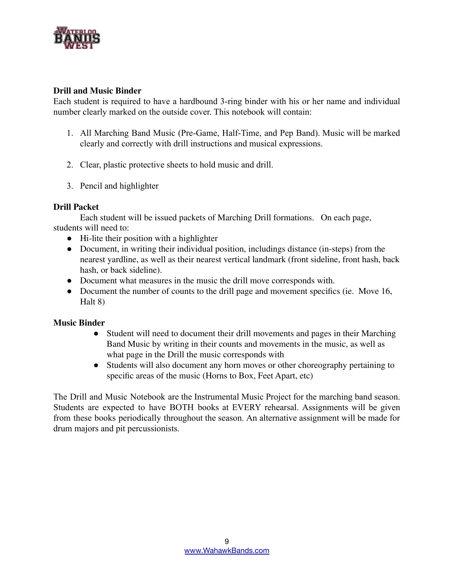

## **Drill and Music Binder**

Each student is required to have a hardbound 3-ring binder with his or her name and individual number clearly marked on the outside cover. This notebook will contain:

- 1. All Marching Band Music (Pre-Game, Half-Time, and Pep Band). Music will be marked clearly and correctly with drill instructions and musical expressions.
- 2. Clear, plastic protective sheets to hold music and drill.
- 3. Pencil and highlighter

# **Drill Packet**

Each student will be issued packets of Marching Drill formations. On each page, students will need to:

- Hi-lite their position with a highlighter
- Document, in writing their individual position, includings distance (in-steps) from the nearest yardline, as well as their nearest vertical landmark (front sideline, front hash, back hash, or back sideline).
- Document what measures in the music the drill move corresponds with.
- Document the number of counts to the drill page and movement specifics (ie. Move 16, Halt 8)

# **Music Binder**

- Student will need to document their drill movements and pages in their Marching Band Music by writing in their counts and movements in the music, as well as what page in the Drill the music corresponds with
- Students will also document any horn moves or other choreography pertaining to specific areas of the music (Horns to Box, Feet Apart, etc)

The Drill and Music Notebook are the Instrumental Music Project for the marching band season. Students are expected to have BOTH books at EVERY rehearsal. Assignments will be given from these books periodically throughout the season. An alternative assignment will be made for drum majors and pit percussionists.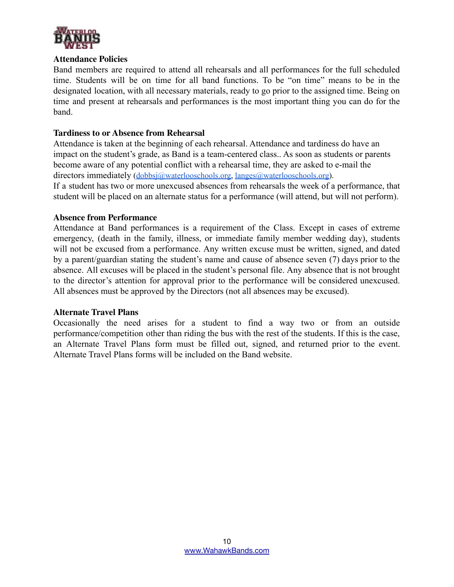

#### **Attendance Policies**

Band members are required to attend all rehearsals and all performances for the full scheduled time. Students will be on time for all band functions. To be "on time" means to be in the designated location, with all necessary materials, ready to go prior to the assigned time. Being on time and present at rehearsals and performances is the most important thing you can do for the band.

#### **Tardiness to or Absence from Rehearsal**

Attendance is taken at the beginning of each rehearsal. Attendance and tardiness do have an impact on the student's grade, as Band is a team-centered class.. As soon as students or parents become aware of any potential conflict with a rehearsal time, they are asked to e-mail the directors immediately ([dobbsj@waterlooschools.org,](mailto:dobbsj@waterlooschools.org) [langes@waterlooschools.org](mailto:langes@waterlooschools.org)). If a student has two or more unexcused absences from rehearsals the week of a performance, that student will be placed on an alternate status for a performance (will attend, but will not perform).

#### **Absence from Performance**

Attendance at Band performances is a requirement of the Class. Except in cases of extreme emergency, (death in the family, illness, or immediate family member wedding day), students will not be excused from a performance. Any written excuse must be written, signed, and dated by a parent/guardian stating the student's name and cause of absence seven (7) days prior to the absence. All excuses will be placed in the student's personal file. Any absence that is not brought to the director's attention for approval prior to the performance will be considered unexcused. All absences must be approved by the Directors (not all absences may be excused).

#### **Alternate Travel Plans**

Occasionally the need arises for a student to find a way two or from an outside performance/competition other than riding the bus with the rest of the students. If this is the case, an Alternate Travel Plans form must be filled out, signed, and returned prior to the event. Alternate Travel Plans forms will be included on the Band website.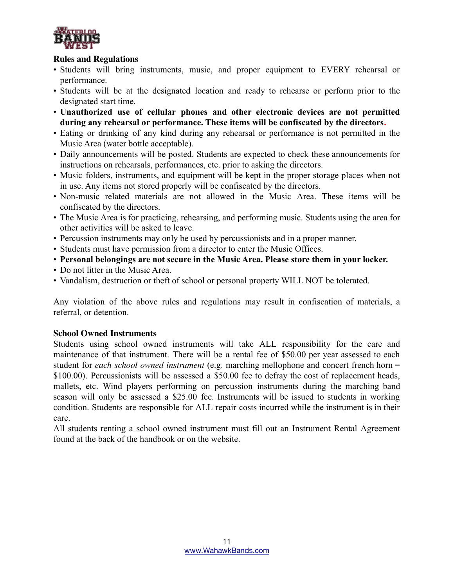

# **Rules and Regulations**

- Students will bring instruments, music, and proper equipment to EVERY rehearsal or performance.
- Students will be at the designated location and ready to rehearse or perform prior to the designated start time.
- **Unauthorized use of cellular phones and other electronic devices are not permitted during any rehearsal or performance. These items will be confiscated by the directors.**
- Eating or drinking of any kind during any rehearsal or performance is not permitted in the Music Area (water bottle acceptable).
- Daily announcements will be posted. Students are expected to check these announcements for instructions on rehearsals, performances, etc. prior to asking the directors.
- Music folders, instruments, and equipment will be kept in the proper storage places when not in use. Any items not stored properly will be confiscated by the directors.
- Non-music related materials are not allowed in the Music Area. These items will be confiscated by the directors.
- The Music Area is for practicing, rehearsing, and performing music. Students using the area for other activities will be asked to leave.
- Percussion instruments may only be used by percussionists and in a proper manner.
- Students must have permission from a director to enter the Music Offices.
- **Personal belongings are not secure in the Music Area. Please store them in your locker.**
- Do not litter in the Music Area.
- Vandalism, destruction or theft of school or personal property WILL NOT be tolerated.

Any violation of the above rules and regulations may result in confiscation of materials, a referral, or detention.

#### **School Owned Instruments**

Students using school owned instruments will take ALL responsibility for the care and maintenance of that instrument. There will be a rental fee of \$50.00 per year assessed to each student for *each school owned instrument* (e.g. marching mellophone and concert french horn = \$100.00). Percussionists will be assessed a \$50.00 fee to defray the cost of replacement heads, mallets, etc. Wind players performing on percussion instruments during the marching band season will only be assessed a \$25.00 fee. Instruments will be issued to students in working condition. Students are responsible for ALL repair costs incurred while the instrument is in their care.

All students renting a school owned instrument must fill out an Instrument Rental Agreement found at the back of the handbook or on the website.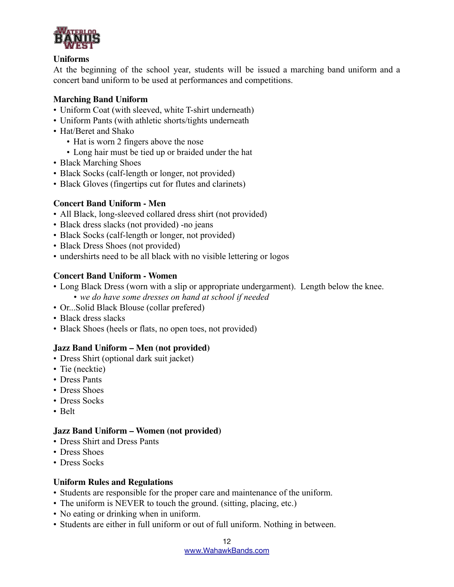

## **Uniforms**

At the beginning of the school year, students will be issued a marching band uniform and a concert band uniform to be used at performances and competitions.

## **Marching Band Uniform**

- Uniform Coat (with sleeved, white T-shirt underneath)
- Uniform Pants (with athletic shorts/tights underneath
- Hat/Beret and Shako
	- Hat is worn 2 fingers above the nose
	- Long hair must be tied up or braided under the hat
- Black Marching Shoes
- Black Socks (calf-length or longer, not provided)
- Black Gloves (fingertips cut for flutes and clarinets)

#### **Concert Band Uniform - Men**

- All Black, long-sleeved collared dress shirt (not provided)
- Black dress slacks (not provided) -no jeans
- Black Socks (calf-length or longer, not provided)
- Black Dress Shoes (not provided)
- undershirts need to be all black with no visible lettering or logos

#### **Concert Band Uniform - Women**

- Long Black Dress (worn with a slip or appropriate undergarment). Length below the knee. *• we do have some dresses on hand at school if needed*
- Or...Solid Black Blouse (collar prefered)
- Black dress slacks
- Black Shoes (heels or flats, no open toes, not provided)

# **Jazz Band Uniform – Men (not provided)**

- Dress Shirt (optional dark suit jacket)
- Tie (necktie)
- Dress Pants
- Dress Shoes
- Dress Socks
- Belt

#### **Jazz Band Uniform – Women (not provided)**

- Dress Shirt and Dress Pants
- Dress Shoes
- Dress Socks

#### **Uniform Rules and Regulations**

- Students are responsible for the proper care and maintenance of the uniform.
- The uniform is NEVER to touch the ground. (sitting, placing, etc.)
- No eating or drinking when in uniform.
- Students are either in full uniform or out of full uniform. Nothing in between.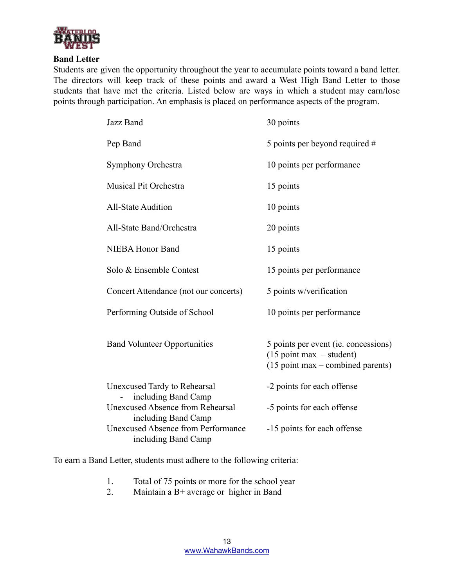

#### **Band Letter**

Students are given the opportunity throughout the year to accumulate points toward a band letter. The directors will keep track of these points and award a West High Band Letter to those students that have met the criteria. Listed below are ways in which a student may earn/lose points through participation. An emphasis is placed on performance aspects of the program.

| Jazz Band                                                                             | 30 points                                                                                                 |
|---------------------------------------------------------------------------------------|-----------------------------------------------------------------------------------------------------------|
| Pep Band                                                                              | 5 points per beyond required $#$                                                                          |
| Symphony Orchestra                                                                    | 10 points per performance                                                                                 |
| <b>Musical Pit Orchestra</b>                                                          | 15 points                                                                                                 |
| <b>All-State Audition</b>                                                             | 10 points                                                                                                 |
| All-State Band/Orchestra                                                              | 20 points                                                                                                 |
| <b>NIEBA Honor Band</b>                                                               | 15 points                                                                                                 |
| Solo & Ensemble Contest                                                               | 15 points per performance                                                                                 |
| Concert Attendance (not our concerts)                                                 | 5 points w/verification                                                                                   |
| Performing Outside of School                                                          | 10 points per performance                                                                                 |
| <b>Band Volunteer Opportunities</b>                                                   | 5 points per event (ie. concessions)<br>$(15$ point max – student)<br>$(15$ point max – combined parents) |
| <b>Unexcused Tardy to Rehearsal</b>                                                   | -2 points for each offense                                                                                |
| including Band Camp<br><b>Unexcused Absence from Rehearsal</b><br>including Band Camp | -5 points for each offense                                                                                |
| <b>Unexcused Absence from Performance</b><br>including Band Camp                      | -15 points for each offense                                                                               |

To earn a Band Letter, students must adhere to the following criteria:

- 1. Total of 75 points or more for the school year
- 2. Maintain a  $\overrightarrow{B}$  + average or higher in Band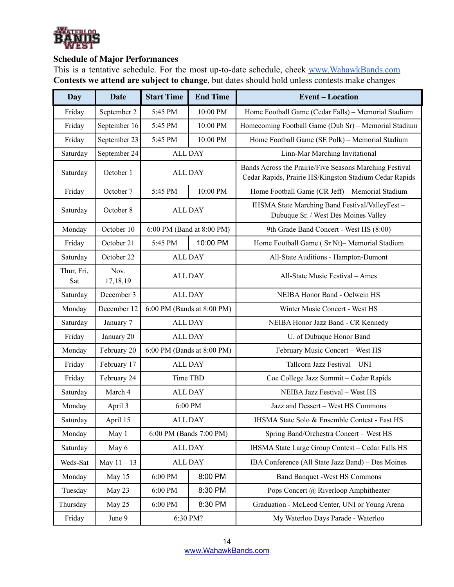

# **Schedule of Major Performances**

This is a tentative schedule. For the most up-to-date schedule, check [www.WahawkBands.com](http://www.wahawkbands.com) **Contests we attend are subject to change**, but dates should hold unless contests make changes

| <b>Day</b>        | <b>Date</b>      | <b>Start Time</b>         | <b>End Time</b>            | <b>Event - Location</b>                                                                                             |  |
|-------------------|------------------|---------------------------|----------------------------|---------------------------------------------------------------------------------------------------------------------|--|
| Friday            | September 2      | 5:45 PM                   | 10:00 PM                   | Home Football Game (Cedar Falls) - Memorial Stadium                                                                 |  |
| Friday            | September 16     | 5:45 PM                   | 10:00 PM                   | Homecoming Football Game (Dub Sr) - Memorial Stadium                                                                |  |
| Friday            | September 23     | 5:45 PM                   | 10:00 PM                   | Home Football Game (SE Polk) - Memorial Stadium                                                                     |  |
| Saturday          | September 24     |                           | ALL DAY                    | Linn-Mar Marching Invitational                                                                                      |  |
| Saturday          | October 1        | <b>ALL DAY</b>            |                            | Bands Across the Prairie/Five Seasons Marching Festival -<br>Cedar Rapids, Prairie HS/Kingston Stadium Cedar Rapids |  |
| Friday            | October 7        | 5:45 PM                   | 10:00 PM                   | Home Football Game (CR Jeff) - Memorial Stadium                                                                     |  |
| Saturday          | October 8        | <b>ALL DAY</b>            |                            | IHSMA State Marching Band Festival/ValleyFest -<br>Dubuque Sr. / West Des Moines Valley                             |  |
| Monday            | October 10       | 6:00 PM (Band at 8:00 PM) |                            | 9th Grade Band Concert - West HS (8:00)                                                                             |  |
| Friday            | October 21       | 5:45 PM                   | 10:00 PM                   | Home Football Game (Sr Nt)- Memorial Stadium                                                                        |  |
| Saturday          | October 22       | <b>ALL DAY</b>            |                            | All-State Auditions - Hampton-Dumont                                                                                |  |
| Thur, Fri,<br>Sat | Nov.<br>17,18,19 | <b>ALL DAY</b>            |                            | All-State Music Festival - Ames                                                                                     |  |
| Saturday          | December 3       |                           | <b>ALL DAY</b>             | NEIBA Honor Band - Oelwein HS                                                                                       |  |
| Monday            | December 12      |                           | 6:00 PM (Bands at 8:00 PM) | Winter Music Concert - West HS                                                                                      |  |
| Saturday          | January 7        |                           | <b>ALL DAY</b>             | NEIBA Honor Jazz Band - CR Kennedy                                                                                  |  |
| Friday            | January 20       |                           | <b>ALL DAY</b>             | U. of Dubuque Honor Band                                                                                            |  |
| Monday            | February 20      |                           | 6:00 PM (Bands at 8:00 PM) | February Music Concert - West HS                                                                                    |  |
| Friday            | February 17      |                           | <b>ALL DAY</b>             | Tallcorn Jazz Festival - UNI                                                                                        |  |
| Friday            | February 24      | Time TBD                  |                            | Coe College Jazz Summit - Cedar Rapids                                                                              |  |
| Saturday          | March 4          | <b>ALL DAY</b>            |                            | NEIBA Jazz Festival - West HS                                                                                       |  |
| Monday            | April 3          | 6:00 PM                   |                            | Jazz and Dessert - West HS Commons                                                                                  |  |
| Saturday          | April 15         | ALL DAY                   |                            | IHSMA State Solo & Ensemble Contest - East HS                                                                       |  |
| Monday            | May 1            | 6:00 PM (Bands 7:00 PM)   |                            | Spring Band/Orchestra Concert - West HS                                                                             |  |
| Saturday          | May 6            | ALL DAY                   |                            | <b>IHSMA State Large Group Contest - Cedar Falls HS</b>                                                             |  |
| Weds-Sat          | May $11 - 13$    | <b>ALL DAY</b>            |                            | IBA Conference (All State Jazz Band) - Des Moines                                                                   |  |
| Monday            | May 15           | 6:00 PM                   | 8:00 PM                    | <b>Band Banquet - West HS Commons</b>                                                                               |  |
| Tuesday           | May 23           | 6:00 PM                   | 8:30 PM                    | Pops Concert @ Riverloop Amphitheater                                                                               |  |
| Thursday          | May 25           | 6:00 PM                   | 8:30 PM                    | Graduation - McLeod Center, UNI or Young Arena                                                                      |  |
| Friday            | June 9           |                           | 6:30 PM?                   | My Waterloo Days Parade - Waterloo                                                                                  |  |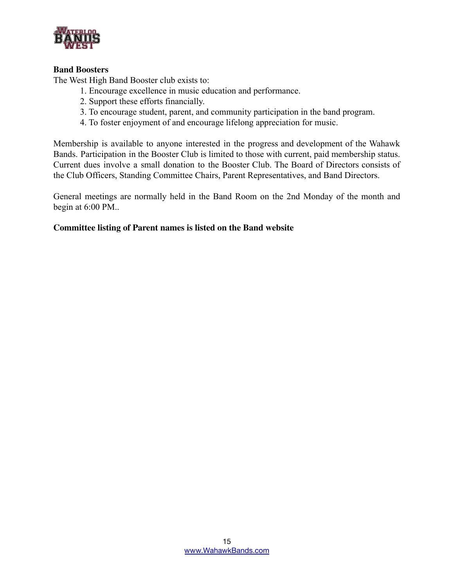

# **Band Boosters**

The West High Band Booster club exists to:

- 1. Encourage excellence in music education and performance.
- 2. Support these efforts financially.
- 3. To encourage student, parent, and community participation in the band program.
- 4. To foster enjoyment of and encourage lifelong appreciation for music.

Membership is available to anyone interested in the progress and development of the Wahawk Bands. Participation in the Booster Club is limited to those with current, paid membership status. Current dues involve a small donation to the Booster Club. The Board of Directors consists of the Club Officers, Standing Committee Chairs, Parent Representatives, and Band Directors.

General meetings are normally held in the Band Room on the 2nd Monday of the month and begin at 6:00 PM..

# **Committee listing of Parent names is listed on the Band website**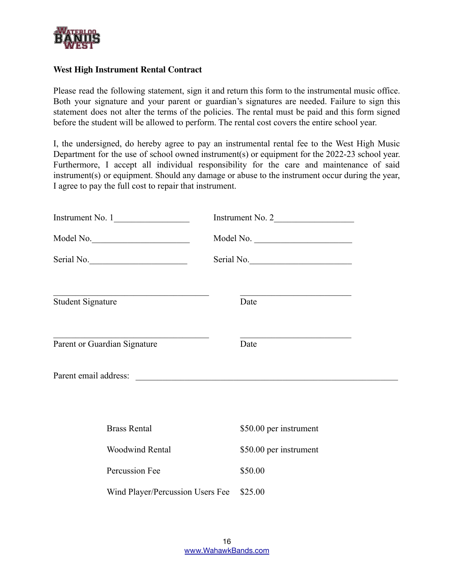

## **West High Instrument Rental Contract**

Please read the following statement, sign it and return this form to the instrumental music office. Both your signature and your parent or guardian's signatures are needed. Failure to sign this statement does not alter the terms of the policies. The rental must be paid and this form signed before the student will be allowed to perform. The rental cost covers the entire school year.

I, the undersigned, do hereby agree to pay an instrumental rental fee to the West High Music Department for the use of school owned instrument(s) or equipment for the 2022-23 school year. Furthermore, I accept all individual responsibility for the care and maintenance of said instrument(s) or equipment. Should any damage or abuse to the instrument occur during the year, I agree to pay the full cost to repair that instrument.

| Instrument No. 1                                                                                   |                                                                                                   |
|----------------------------------------------------------------------------------------------------|---------------------------------------------------------------------------------------------------|
| Model No.                                                                                          | Model No.                                                                                         |
| Serial No.                                                                                         | Serial No.                                                                                        |
| <u> 1989 - Jan Samuel Barbara, margaret eta biztanleria (h. 1989).</u><br><b>Student Signature</b> | the control of the control of the control of the control of the control of the control of<br>Date |
| Parent or Guardian Signature                                                                       | Date                                                                                              |
|                                                                                                    |                                                                                                   |
|                                                                                                    |                                                                                                   |
| <b>Brass Rental</b>                                                                                | \$50.00 per instrument                                                                            |
| <b>Woodwind Rental</b>                                                                             | \$50.00 per instrument                                                                            |

Wind Player/Percussion Users Fee \$25.00

Percussion Fee \$50.00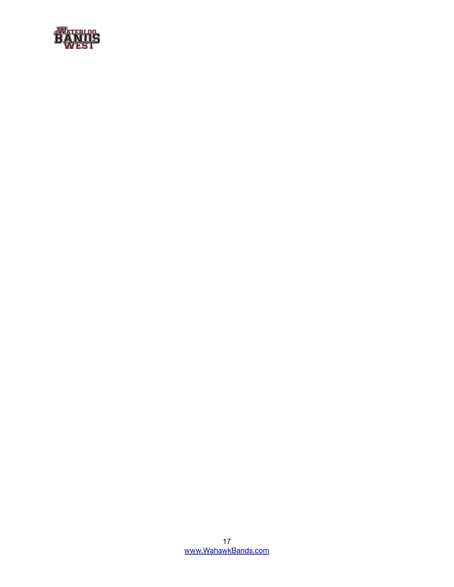